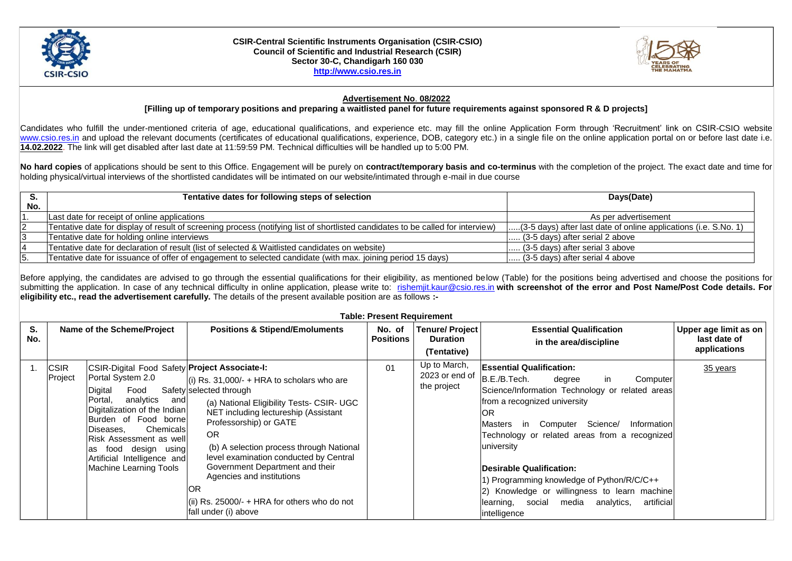

## **CSIR-Central Scientific Instruments Organisation (CSIR-CSIO) Council of Scientific and Industrial Research (CSIR) Sector 30-C, Chandigarh 160 030 [http://www.csio.res.in](http://www.csio.res.in/)**



## **Advertisement No**. **08/2022**

**[Filling up of temporary positions and preparing a waitlisted panel for future requirements against sponsored R & D projects]**

Candidates who fulfill the under-mentioned criteria of age, educational qualifications, and experience etc. may fill the online Application Form through 'Recruitment' link on CSIR-CSIO website [www.csio.res.in](http://www.csio.res.in/) and upload the relevant documents (certificates of educational qualifications, experience, DOB, category etc.) in a single file on the online application portal on or before last date i.e. **14.02.2022**. The link will get disabled after last date at 11:59:59 PM. Technical difficulties will be handled up to 5:00 PM.

**No hard copies** of applications should be sent to this Office. Engagement will be purely on **contract/temporary basis and co-terminus** with the completion of the project. The exact date and time for holding physical/virtual interviews of the shortlisted candidates will be intimated on our website/intimated through e-mail in due course

|     | Tentative dates for following steps of selection                                                                                | Days(Date)                                                        |  |  |
|-----|---------------------------------------------------------------------------------------------------------------------------------|-------------------------------------------------------------------|--|--|
| No. |                                                                                                                                 |                                                                   |  |  |
|     | Last date for receipt of online applications                                                                                    | As per advertisement                                              |  |  |
|     | Tentative date for display of result of screening process (notifying list of shortlisted candidates to be called for interview) | [(3-5 days) after last date of online applications (i.e. S.No. 1) |  |  |
|     | Tentative date for holding online interviews                                                                                    | $\left  \ldots \right $ (3-5 days) after serial 2 above           |  |  |
|     | Tentative date for declaration of result (list of selected & Waitlisted candidates on website)                                  | $\left  \ldots \right $ (3-5 days) after serial 3 above           |  |  |
|     | Tentative date for issuance of offer of engagement to selected candidate (with max. joining period 15 days)                     | $\left  \ldots \right $ (3-5 days) after serial 4 above           |  |  |

Before applying, the candidates are advised to go through the essential qualifications for their eligibility, as mentioned below (Table) for the positions being advertised and choose the positions for submitting the application. In case of any technical difficulty in online application, please write to: rishemit.kaur@csio.res.in with screenshot of the error and Post Name/Post Code details. For **eligibility etc., read the advertisement carefully.** The details of the present available position are as follows **:-**

| <b>Table: Present Requirement</b> |                            |                                                                                                                                                                                                                                                                                                                        |                                                                                                                                                                                                                                                                                                                                                                                                                                            |                            |                                                         |                                                                                                                                                                                                                                                                                                                                                                                                                                                                                                     |                                                       |  |  |  |
|-----------------------------------|----------------------------|------------------------------------------------------------------------------------------------------------------------------------------------------------------------------------------------------------------------------------------------------------------------------------------------------------------------|--------------------------------------------------------------------------------------------------------------------------------------------------------------------------------------------------------------------------------------------------------------------------------------------------------------------------------------------------------------------------------------------------------------------------------------------|----------------------------|---------------------------------------------------------|-----------------------------------------------------------------------------------------------------------------------------------------------------------------------------------------------------------------------------------------------------------------------------------------------------------------------------------------------------------------------------------------------------------------------------------------------------------------------------------------------------|-------------------------------------------------------|--|--|--|
| S.<br>No.                         | Name of the Scheme/Project |                                                                                                                                                                                                                                                                                                                        | <b>Positions &amp; Stipend/Emoluments</b>                                                                                                                                                                                                                                                                                                                                                                                                  | No. of<br><b>Positions</b> | <b>Tenure/Project</b><br><b>Duration</b><br>(Tentative) | <b>Essential Qualification</b><br>in the area/discipline                                                                                                                                                                                                                                                                                                                                                                                                                                            | Upper age limit as on<br>last date of<br>applications |  |  |  |
|                                   | <b>CSIR</b><br>Project     | CSIR-Digital Food Safety Project Associate-I:<br>Portal System 2.0<br>Food<br>Digital<br>analytics<br>Portal,<br>and<br>Digitalization of the Indian<br>Burden of Food bornel<br>Chemicals<br>Diseases.<br>Risk Assessment as well<br>food design using<br>as<br>Artificial Intelligence and<br>Machine Learning Tools | $(i)$ Rs. 31,000/- + HRA to scholars who are<br>Safety selected through<br>(a) National Eligibility Tests- CSIR- UGC<br>NET including lectureship (Assistant<br>Professorship) or GATE<br><b>OR</b><br>(b) A selection process through National<br>level examination conducted by Central<br>Government Department and their<br>Agencies and institutions<br>IOR<br>(ii) Rs. $25000/- + HRA$ for others who do not<br>fall under (i) above | 01                         | Up to March,<br>2023 or end of<br>the project           | <b>Essential Qualification:</b><br>B.E./B.Tech.<br>degree<br>Computer<br>in.<br>Science/Information Technology or related areas<br>from a recognized university<br>IOR<br>in Computer Science/<br>Information<br><b>IMasters</b><br>Technology or related areas from a recognized<br>university<br><b>Desirable Qualification:</b><br>1) Programming knowledge of Python/R/C/C++<br>2) Knowledge or willingness to learn machine<br>learning, social media analytics,<br>artificial<br>intelligence | 35 years                                              |  |  |  |